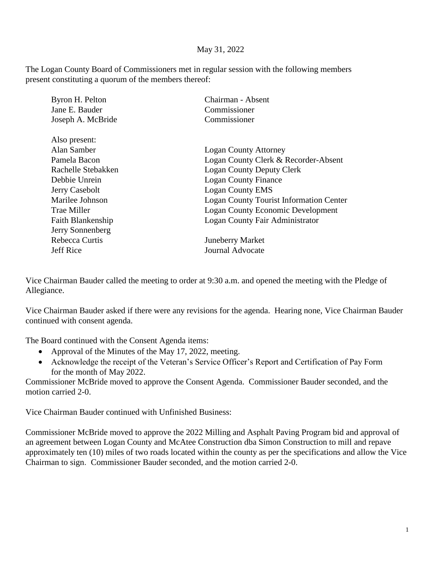## May 31, 2022

The Logan County Board of Commissioners met in regular session with the following members present constituting a quorum of the members thereof:

| Byron H. Pelton    | Chairman - Absent                              |
|--------------------|------------------------------------------------|
| Jane E. Bauder     | Commissioner                                   |
| Joseph A. McBride  | Commissioner                                   |
| Also present:      |                                                |
| Alan Samber        | <b>Logan County Attorney</b>                   |
| Pamela Bacon       | Logan County Clerk & Recorder-Absent           |
| Rachelle Stebakken | <b>Logan County Deputy Clerk</b>               |
| Debbie Unrein      | <b>Logan County Finance</b>                    |
| Jerry Casebolt     | <b>Logan County EMS</b>                        |
| Marilee Johnson    | <b>Logan County Tourist Information Center</b> |
| Trae Miller        | <b>Logan County Economic Development</b>       |
| Faith Blankenship  | Logan County Fair Administrator                |
| Jerry Sonnenberg   |                                                |
| Rebecca Curtis     | <b>Juneberry Market</b>                        |
| <b>Jeff Rice</b>   | Journal Advocate                               |
|                    |                                                |

Vice Chairman Bauder called the meeting to order at 9:30 a.m. and opened the meeting with the Pledge of Allegiance.

Vice Chairman Bauder asked if there were any revisions for the agenda. Hearing none, Vice Chairman Bauder continued with consent agenda.

The Board continued with the Consent Agenda items:

- Approval of the Minutes of the May 17, 2022, meeting.
- Acknowledge the receipt of the Veteran's Service Officer's Report and Certification of Pay Form for the month of May 2022.

Commissioner McBride moved to approve the Consent Agenda. Commissioner Bauder seconded, and the motion carried 2-0.

Vice Chairman Bauder continued with Unfinished Business:

Commissioner McBride moved to approve the 2022 Milling and Asphalt Paving Program bid and approval of an agreement between Logan County and McAtee Construction dba Simon Construction to mill and repave approximately ten (10) miles of two roads located within the county as per the specifications and allow the Vice Chairman to sign. Commissioner Bauder seconded, and the motion carried 2-0.